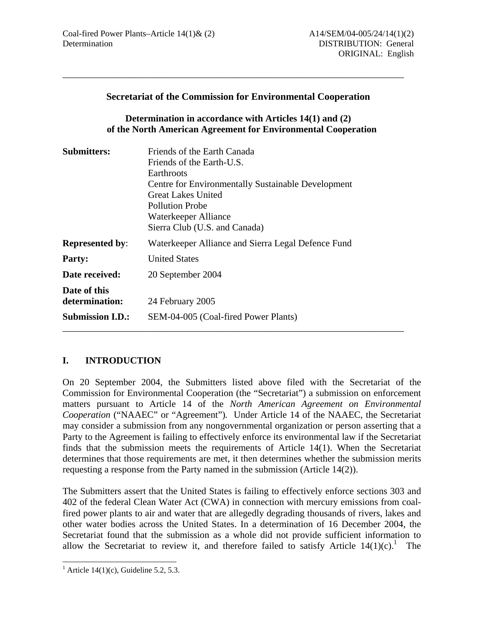| <b>Secretariat of the Commission for Environmental Cooperation</b> |  |  |  |
|--------------------------------------------------------------------|--|--|--|
|--------------------------------------------------------------------|--|--|--|

\_\_\_\_\_\_\_\_\_\_\_\_\_\_\_\_\_\_\_\_\_\_\_\_\_\_\_\_\_\_\_\_\_\_\_\_\_\_\_\_\_\_\_\_\_\_\_\_\_\_\_\_\_\_\_\_\_\_\_\_\_\_\_\_\_\_\_\_\_\_\_\_

### **Determination in accordance with Articles 14(1) and (2) of the North American Agreement for Environmental Cooperation**

| <b>Submitters:</b>                                        | Friends of the Earth Canada<br>Friends of the Earth-U.S.<br>Earthroots<br>Centre for Environmentally Sustainable Development<br>Great Lakes United<br><b>Pollution Probe</b><br>Waterkeeper Alliance<br>Sierra Club (U.S. and Canada) |
|-----------------------------------------------------------|---------------------------------------------------------------------------------------------------------------------------------------------------------------------------------------------------------------------------------------|
| <b>Represented by:</b>                                    | Waterkeeper Alliance and Sierra Legal Defence Fund                                                                                                                                                                                    |
| <b>Party:</b>                                             | <b>United States</b>                                                                                                                                                                                                                  |
| Date received:                                            | 20 September 2004                                                                                                                                                                                                                     |
| Date of this<br>determination:<br><b>Submission I.D.:</b> | 24 February 2005<br>SEM-04-005 (Coal-fired Power Plants)                                                                                                                                                                              |

## **I. INTRODUCTION**

On 20 September 2004, the Submitters listed above filed with the Secretariat of the Commission for Environmental Cooperation (the "Secretariat") a submission on enforcement matters pursuant to Article 14 of the *North American Agreement on Environmental Cooperation* ("NAAEC" or "Agreement")*.* Under Article 14 of the NAAEC*,* the Secretariat may consider a submission from any nongovernmental organization or person asserting that a Party to the Agreement is failing to effectively enforce its environmental law if the Secretariat finds that the submission meets the requirements of Article 14(1). When the Secretariat determines that those requirements are met, it then determines whether the submission merits requesting a response from the Party named in the submission (Article 14(2)).

The Submitters assert that the United States is failing to effectively enforce sections 303 and 402 of the federal Clean Water Act (CWA) in connection with mercury emissions from coalfired power plants to air and water that are allegedly degrading thousands of rivers, lakes and other water bodies across the United States. In a determination of 16 December 2004, the Secretariat found that the submission as a whole did not provide sufficient information to allow the Secretariat to review it, and therefore failed to satisfy Article  $14(1)(c)$ .<sup>1</sup> The

<sup>&</sup>lt;sup>1</sup> Article 14(1)(c), Guideline 5.2, 5.3.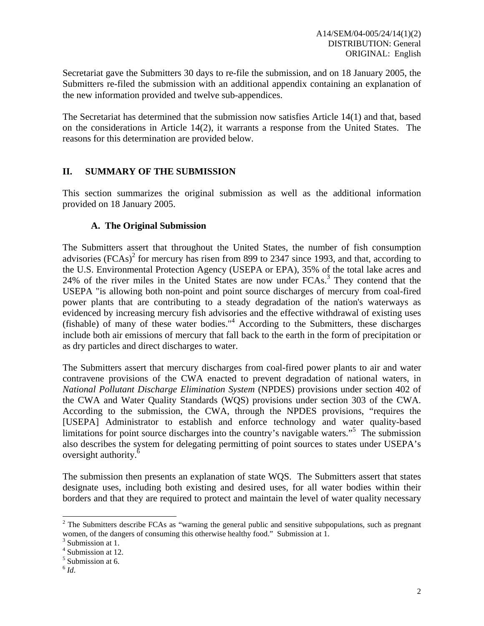Secretariat gave the Submitters 30 days to re-file the submission, and on 18 January 2005, the Submitters re-filed the submission with an additional appendix containing an explanation of the new information provided and twelve sub-appendices.

The Secretariat has determined that the submission now satisfies Article 14(1) and that, based on the considerations in Article 14(2), it warrants a response from the United States. The reasons for this determination are provided below.

### **II. SUMMARY OF THE SUBMISSION**

This section summarizes the original submission as well as the additional information provided on 18 January 2005.

### **A. The Original Submission**

The Submitters assert that throughout the United States, the number of fish consumption advisories  $(FCAs)^2$  for mercury has risen from 899 to 2347 since 1993, and that, according to the U.S. Environmental Protection Agency (USEPA or EPA), 35% of the total lake acres and 24% of the river miles in the United States are now under FCAs.<sup>3</sup> They contend that the USEPA "is allowing both non-point and point source discharges of mercury from coal-fired power plants that are contributing to a steady degradation of the nation's waterways as evidenced by increasing mercury fish advisories and the effective withdrawal of existing uses (fishable) of many of these water bodies."4 According to the Submitters, these discharges include both air emissions of mercury that fall back to the earth in the form of precipitation or as dry particles and direct discharges to water.

The Submitters assert that mercury discharges from coal-fired power plants to air and water contravene provisions of the CWA enacted to prevent degradation of national waters, in *National Pollutant Discharge Elimination System* (NPDES) provisions under section 402 of the CWA and Water Quality Standards (WQS) provisions under section 303 of the CWA. According to the submission, the CWA, through the NPDES provisions, "requires the [USEPA] Administrator to establish and enforce technology and water quality-based limitations for point source discharges into the country's navigable waters."<sup>5</sup> The submission also describes the system for delegating permitting of point sources to states under USEPA's oversight authority.<sup>6</sup>

The submission then presents an explanation of state WQS. The Submitters assert that states designate uses, including both existing and desired uses, for all water bodies within their borders and that they are required to protect and maintain the level of water quality necessary

 $2$  The Submitters describe FCAs as "warning the general public and sensitive subpopulations, such as pregnant women, of the dangers of consuming this otherwise healthy food." Submission at 1.

<sup>&</sup>lt;sup>3</sup> Submission at 1.

<sup>4</sup> Submission at 12.

<sup>5</sup> Submission at 6.

 $6$   $Id.$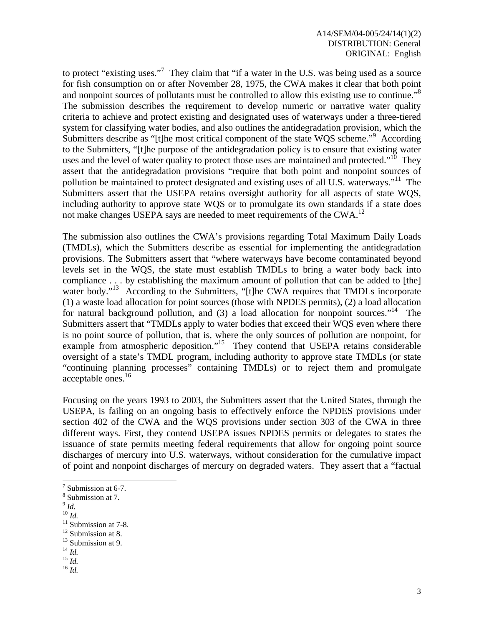to protect "existing uses."<sup>7</sup> They claim that "if a water in the U.S. was being used as a source for fish consumption on or after November 28, 1975, the CWA makes it clear that both point and nonpoint sources of pollutants must be controlled to allow this existing use to continue."<sup>8</sup> The submission describes the requirement to develop numeric or narrative water quality criteria to achieve and protect existing and designated uses of waterways under a three-tiered system for classifying water bodies, and also outlines the antidegradation provision, which the Submitters describe as "[t]he most critical component of the state WQS scheme."<sup>9</sup> According to the Submitters, "[t]he purpose of the antidegradation policy is to ensure that existing water uses and the level of water quality to protect those uses are maintained and protected."<sup>10</sup> They assert that the antidegradation provisions "require that both point and nonpoint sources of pollution be maintained to protect designated and existing uses of all U.S. waterways."<sup>11</sup> The Submitters assert that the USEPA retains oversight authority for all aspects of state WQS, including authority to approve state WQS or to promulgate its own standards if a state does not make changes USEPA says are needed to meet requirements of the CWA.<sup>12</sup>

The submission also outlines the CWA's provisions regarding Total Maximum Daily Loads (TMDLs), which the Submitters describe as essential for implementing the antidegradation provisions. The Submitters assert that "where waterways have become contaminated beyond levels set in the WQS, the state must establish TMDLs to bring a water body back into compliance . . . by establishing the maximum amount of pollution that can be added to [the] water body."<sup>13</sup> According to the Submitters, "[t]he CWA requires that TMDLs incorporate (1) a waste load allocation for point sources (those with NPDES permits), (2) a load allocation for natural background pollution, and  $(3)$  a load allocation for nonpoint sources."<sup>14</sup> The Submitters assert that "TMDLs apply to water bodies that exceed their WQS even where there is no point source of pollution, that is, where the only sources of pollution are nonpoint, for example from atmospheric deposition."<sup>15</sup> They contend that USEPA retains considerable oversight of a state's TMDL program, including authority to approve state TMDLs (or state "continuing planning processes" containing TMDLs) or to reject them and promulgate acceptable ones.<sup>16</sup>

Focusing on the years 1993 to 2003, the Submitters assert that the United States, through the USEPA, is failing on an ongoing basis to effectively enforce the NPDES provisions under section 402 of the CWA and the WQS provisions under section 303 of the CWA in three different ways. First, they contend USEPA issues NPDES permits or delegates to states the issuance of state permits meeting federal requirements that allow for ongoing point source discharges of mercury into U.S. waterways, without consideration for the cumulative impact of point and nonpoint discharges of mercury on degraded waters. They assert that a "factual

- 
- $\int_{10}^{9}$ *Id.*

- <sup>12</sup> Submission at 8.
- <sup>13</sup> Submission at 9.<br><sup>14</sup> *Id.*

14 *Id.* 15 *Id.* 16 *Id.* 

 $\frac{7}{7}$  Submission at 6-7.

<sup>8</sup> Submission at 7.

<sup>&</sup>lt;sup>11</sup> Submission at 7-8.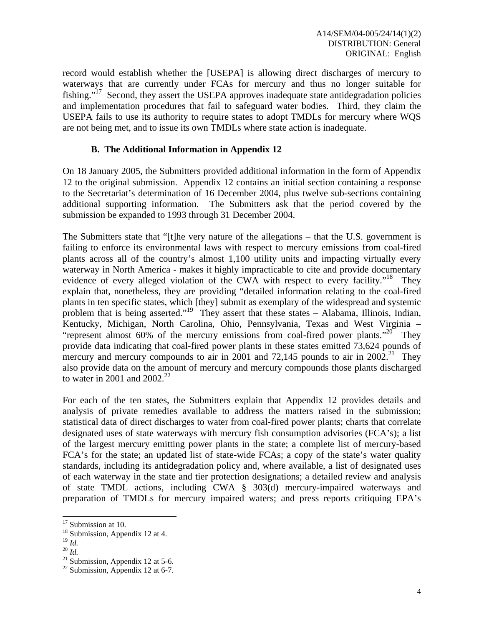record would establish whether the [USEPA] is allowing direct discharges of mercury to waterways that are currently under FCAs for mercury and thus no longer suitable for fishing."<sup>17</sup> Second, they assert the USEPA approves inadequate state antidegradation policies and implementation procedures that fail to safeguard water bodies. Third, they claim the USEPA fails to use its authority to require states to adopt TMDLs for mercury where WQS are not being met, and to issue its own TMDLs where state action is inadequate.

#### **B. The Additional Information in Appendix 12**

On 18 January 2005, the Submitters provided additional information in the form of Appendix 12 to the original submission. Appendix 12 contains an initial section containing a response to the Secretariat's determination of 16 December 2004, plus twelve sub-sections containing additional supporting information. The Submitters ask that the period covered by the submission be expanded to 1993 through 31 December 2004.

The Submitters state that "[t]he very nature of the allegations – that the U.S. government is failing to enforce its environmental laws with respect to mercury emissions from coal-fired plants across all of the country's almost 1,100 utility units and impacting virtually every waterway in North America - makes it highly impracticable to cite and provide documentary evidence of every alleged violation of the CWA with respect to every facility."<sup>18</sup> They explain that, nonetheless, they are providing "detailed information relating to the coal-fired plants in ten specific states, which [they] submit as exemplary of the widespread and systemic problem that is being asserted."19 They assert that these states – Alabama, Illinois, Indian, Kentucky, Michigan, North Carolina, Ohio, Pennsylvania, Texas and West Virginia – "represent almost 60% of the mercury emissions from coal-fired power plants."<sup>20</sup> They provide data indicating that coal-fired power plants in these states emitted 73,624 pounds of mercury and mercury compounds to air in 2001 and 72,145 pounds to air in  $2002<sup>21</sup>$ . They also provide data on the amount of mercury and mercury compounds those plants discharged to water in 2001 and  $2002.<sup>22</sup>$ 

For each of the ten states, the Submitters explain that Appendix 12 provides details and analysis of private remedies available to address the matters raised in the submission; statistical data of direct discharges to water from coal-fired power plants; charts that correlate designated uses of state waterways with mercury fish consumption advisories (FCA's); a list of the largest mercury emitting power plants in the state; a complete list of mercury-based FCA's for the state; an updated list of state-wide FCAs; a copy of the state's water quality standards, including its antidegradation policy and, where available, a list of designated uses of each waterway in the state and tier protection designations; a detailed review and analysis of state TMDL actions, including CWA § 303(d) mercury-impaired waterways and preparation of TMDLs for mercury impaired waters; and press reports critiquing EPA's

<sup>&</sup>lt;sup>17</sup> Submission at 10.

<sup>&</sup>lt;sup>18</sup> Submission, Appendix 12 at 4.<br><sup>19</sup>  $\frac{1}{d}$ 

<sup>19</sup> *Id.* <sup>20</sup> *Id.* 21 Submission, Appendix 12 at 5-6.

 $22$  Submission, Appendix 12 at 6-7.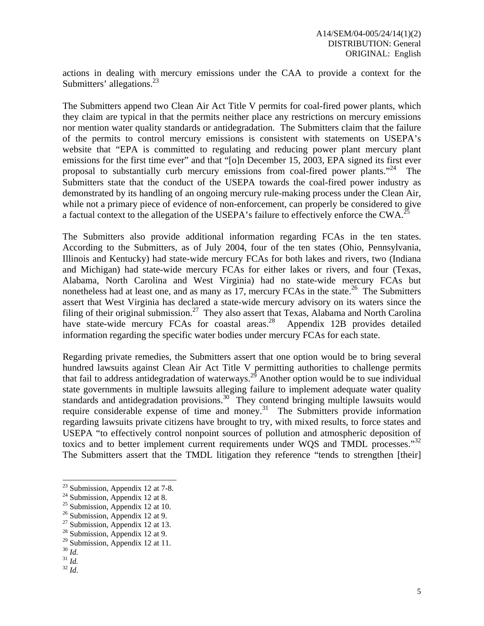actions in dealing with mercury emissions under the CAA to provide a context for the Submitters' allegations.<sup>23</sup>

The Submitters append two Clean Air Act Title V permits for coal-fired power plants, which they claim are typical in that the permits neither place any restrictions on mercury emissions nor mention water quality standards or antidegradation. The Submitters claim that the failure of the permits to control mercury emissions is consistent with statements on USEPA's website that "EPA is committed to regulating and reducing power plant mercury plant emissions for the first time ever" and that "[o]n December 15, 2003, EPA signed its first ever proposal to substantially curb mercury emissions from coal-fired power plants."<sup>24</sup> The Submitters state that the conduct of the USEPA towards the coal-fired power industry as demonstrated by its handling of an ongoing mercury rule-making process under the Clean Air, while not a primary piece of evidence of non-enforcement, can properly be considered to give a factual context to the allegation of the USEPA's failure to effectively enforce the CWA.<sup>25</sup>

The Submitters also provide additional information regarding FCAs in the ten states. According to the Submitters, as of July 2004, four of the ten states (Ohio, Pennsylvania, Illinois and Kentucky) had state-wide mercury FCAs for both lakes and rivers, two (Indiana and Michigan) had state-wide mercury FCAs for either lakes or rivers, and four (Texas, Alabama, North Carolina and West Virginia) had no state-wide mercury FCAs but nonetheless had at least one, and as many as 17, mercury FCAs in the state.<sup>26</sup> The Submitters assert that West Virginia has declared a state-wide mercury advisory on its waters since the filing of their original submission.<sup>27</sup> They also assert that Texas, Alabama and North Carolina have state-wide mercury FCAs for coastal areas.<sup>28</sup> Appendix 12B provides detailed information regarding the specific water bodies under mercury FCAs for each state.

Regarding private remedies, the Submitters assert that one option would be to bring several hundred lawsuits against Clean Air Act Title V permitting authorities to challenge permits that fail to address antidegradation of waterways.<sup>29</sup> Another option would be to sue individual state governments in multiple lawsuits alleging failure to implement adequate water quality standards and antidegradation provisions.<sup>30</sup> They contend bringing multiple lawsuits would require considerable expense of time and money.<sup>31</sup> The Submitters provide information regarding lawsuits private citizens have brought to try, with mixed results, to force states and USEPA "to effectively control nonpoint sources of pollution and atmospheric deposition of toxics and to better implement current requirements under WQS and TMDL processes."32 The Submitters assert that the TMDL litigation they reference "tends to strengthen [their]

 $2<sup>23</sup>$  Submission, Appendix 12 at 7-8.

 $24$  Submission, Appendix 12 at 8.

<sup>&</sup>lt;sup>25</sup> Submission, Appendix 12 at 10.

 $26$  Submission, Appendix 12 at 9.

 $27$  Submission, Appendix 12 at 13.

<sup>&</sup>lt;sup>28</sup> Submission, Appendix 12 at 9.

<sup>&</sup>lt;sup>29</sup> Submission, Appendix 12 at 11.<br><sup>30</sup> *Id.* 

 $\frac{31}{32}$  *Id.*  $\frac{32}{6}$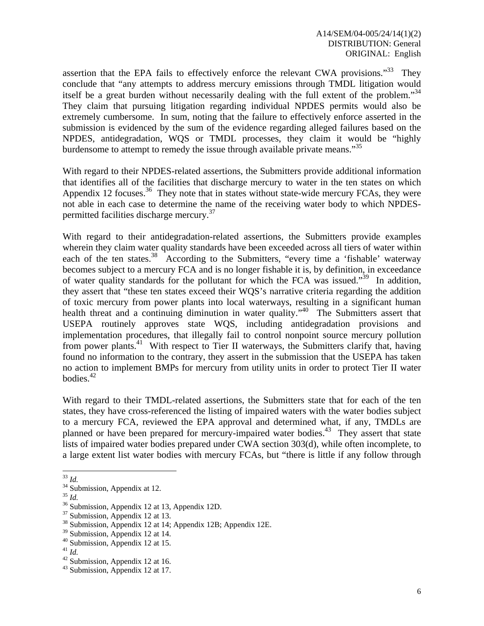assertion that the EPA fails to effectively enforce the relevant CWA provisions."<sup>33</sup> They conclude that "any attempts to address mercury emissions through TMDL litigation would itself be a great burden without necessarily dealing with the full extent of the problem."<sup>34</sup> They claim that pursuing litigation regarding individual NPDES permits would also be extremely cumbersome. In sum, noting that the failure to effectively enforce asserted in the submission is evidenced by the sum of the evidence regarding alleged failures based on the NPDES, antidegradation, WQS or TMDL processes, they claim it would be "highly burdensome to attempt to remedy the issue through available private means."<sup>35</sup>

With regard to their NPDES-related assertions, the Submitters provide additional information that identifies all of the facilities that discharge mercury to water in the ten states on which Appendix 12 focuses.<sup>36</sup> They note that in states without state-wide mercury FCAs, they were not able in each case to determine the name of the receiving water body to which NPDESpermitted facilities discharge mercury.<sup>37</sup>

With regard to their antidegradation-related assertions, the Submitters provide examples wherein they claim water quality standards have been exceeded across all tiers of water within each of the ten states.<sup>38</sup> According to the Submitters, "every time a 'fishable' waterway becomes subject to a mercury FCA and is no longer fishable it is, by definition, in exceedance of water quality standards for the pollutant for which the FCA was issued."<sup>39</sup> In addition, they assert that "these ten states exceed their WQS's narrative criteria regarding the addition of toxic mercury from power plants into local waterways, resulting in a significant human health threat and a continuing diminution in water quality."<sup>40</sup> The Submitters assert that USEPA routinely approves state WQS, including antidegradation provisions and implementation procedures, that illegally fail to control nonpoint source mercury pollution from power plants.<sup>41</sup> With respect to Tier II waterways, the Submitters clarify that, having found no information to the contrary, they assert in the submission that the USEPA has taken no action to implement BMPs for mercury from utility units in order to protect Tier II water bodies.<sup>42</sup>

With regard to their TMDL-related assertions, the Submitters state that for each of the ten states, they have cross-referenced the listing of impaired waters with the water bodies subject to a mercury FCA, reviewed the EPA approval and determined what, if any, TMDLs are planned or have been prepared for mercury-impaired water bodies.<sup>43</sup> They assert that state lists of impaired water bodies prepared under CWA section 303(d), while often incomplete, to a large extent list water bodies with mercury FCAs, but "there is little if any follow through

 $33$  Id.

 $rac{34}{13}$  Submission, Appendix at 12.<br><sup>35</sup> *Id.* 

<sup>&</sup>lt;sup>36</sup> Submission, Appendix 12 at 13, Appendix 12D.

<sup>&</sup>lt;sup>37</sup> Submission, Appendix 12 at 13.

<sup>38</sup> Submission, Appendix 12 at 14; Appendix 12B; Appendix 12E.

<sup>39</sup> Submission, Appendix 12 at 14.

<sup>&</sup>lt;sup>40</sup> Submission, Appendix 12 at 15.<br><sup>41</sup> Id.

<sup>&</sup>lt;sup>42</sup> Submission, Appendix 12 at 16.

<sup>43</sup> Submission, Appendix 12 at 17.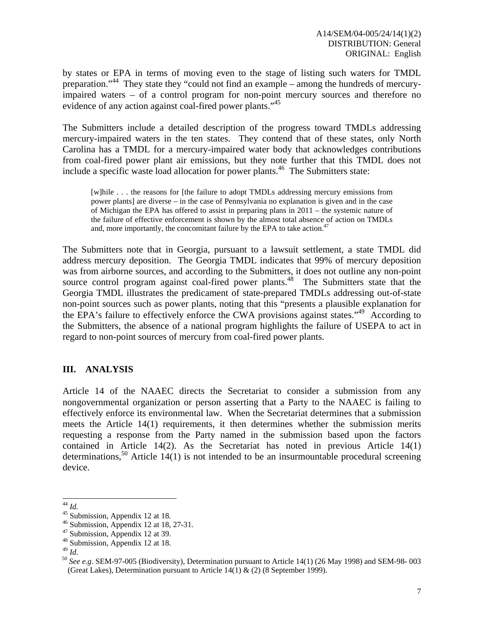by states or EPA in terms of moving even to the stage of listing such waters for TMDL preparation."44 They state they "could not find an example – among the hundreds of mercuryimpaired waters – of a control program for non-point mercury sources and therefore no evidence of any action against coal-fired power plants."<sup>45</sup>

The Submitters include a detailed description of the progress toward TMDLs addressing mercury-impaired waters in the ten states. They contend that of these states, only North Carolina has a TMDL for a mercury-impaired water body that acknowledges contributions from coal-fired power plant air emissions, but they note further that this TMDL does not include a specific waste load allocation for power plants.<sup>46</sup> The Submitters state:

[w]hile . . . the reasons for [the failure to adopt TMDLs addressing mercury emissions from power plants] are diverse – in the case of Pennsylvania no explanation is given and in the case of Michigan the EPA has offered to assist in preparing plans in 2011 – the systemic nature of the failure of effective enforcement is shown by the almost total absence of action on TMDLs and, more importantly, the concomitant failure by the EPA to take action.<sup>47</sup>

The Submitters note that in Georgia, pursuant to a lawsuit settlement, a state TMDL did address mercury deposition. The Georgia TMDL indicates that 99% of mercury deposition was from airborne sources, and according to the Submitters, it does not outline any non-point source control program against coal-fired power plants.<sup>48</sup> The Submitters state that the Georgia TMDL illustrates the predicament of state-prepared TMDLs addressing out-of-state non-point sources such as power plants, noting that this "presents a plausible explanation for the EPA's failure to effectively enforce the CWA provisions against states."49 According to the Submitters, the absence of a national program highlights the failure of USEPA to act in regard to non-point sources of mercury from coal-fired power plants.

## **III. ANALYSIS**

Article 14 of the NAAEC directs the Secretariat to consider a submission from any nongovernmental organization or person asserting that a Party to the NAAEC is failing to effectively enforce its environmental law. When the Secretariat determines that a submission meets the Article 14(1) requirements, it then determines whether the submission merits requesting a response from the Party named in the submission based upon the factors contained in Article 14(2). As the Secretariat has noted in previous Article 14(1) determinations,<sup>50</sup> Article 14(1) is not intended to be an insurmountable procedural screening device.

 $44$  Id.

<sup>&</sup>lt;sup>45</sup> Submission, Appendix 12 at 18.<br><sup>46</sup> Submission, Appendix 12 at 18, 27-31.

<sup>47</sup> Submission, Appendix 12 at 39.

<sup>&</sup>lt;sup>48</sup> Submission, Appendix 12 at 18.<br><sup>49</sup> Id.

<sup>&</sup>lt;sup>50</sup> See e.g. SEM-97-005 (Biodiversity), Determination pursuant to Article 14(1) (26 May 1998) and SEM-98-003 (Great Lakes), Determination pursuant to Article  $14(1) \& (2)$  (8 September 1999).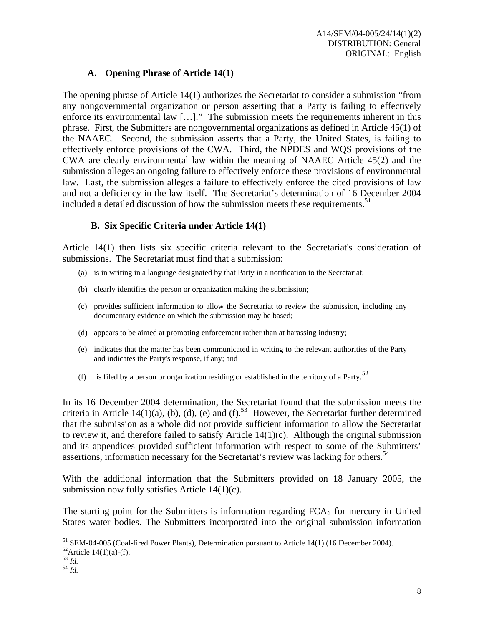### **A. Opening Phrase of Article 14(1)**

The opening phrase of Article 14(1) authorizes the Secretariat to consider a submission "from any nongovernmental organization or person asserting that a Party is failing to effectively enforce its environmental law […]." The submission meets the requirements inherent in this phrase. First, the Submitters are nongovernmental organizations as defined in Article 45(1) of the NAAEC. Second, the submission asserts that a Party, the United States, is failing to effectively enforce provisions of the CWA. Third, the NPDES and WQS provisions of the CWA are clearly environmental law within the meaning of NAAEC Article 45(2) and the submission alleges an ongoing failure to effectively enforce these provisions of environmental law.Last, the submission alleges a failure to effectively enforce the cited provisions of law and not a deficiency in the law itself. The Secretariat's determination of 16 December 2004 included a detailed discussion of how the submission meets these requirements.<sup>51</sup>

### **B. Six Specific Criteria under Article 14(1)**

Article 14(1) then lists six specific criteria relevant to the Secretariat's consideration of submissions. The Secretariat must find that a submission:

- (a) is in writing in a language designated by that Party in a notification to the Secretariat;
- (b) clearly identifies the person or organization making the submission;
- (c) provides sufficient information to allow the Secretariat to review the submission, including any documentary evidence on which the submission may be based;
- (d) appears to be aimed at promoting enforcement rather than at harassing industry;
- (e) indicates that the matter has been communicated in writing to the relevant authorities of the Party and indicates the Party's response, if any; and
- (f) is filed by a person or organization residing or established in the territory of a Party.<sup>52</sup>

In its 16 December 2004 determination, the Secretariat found that the submission meets the criteria in Article 14(1)(a), (b), (d), (e) and (f).<sup>53</sup> However, the Secretariat further determined that the submission as a whole did not provide sufficient information to allow the Secretariat to review it, and therefore failed to satisfy Article  $14(1)(c)$ . Although the original submission and its appendices provided sufficient information with respect to some of the Submitters' assertions, information necessary for the Secretariat's review was lacking for others.<sup>54</sup>

With the additional information that the Submitters provided on 18 January 2005, the submission now fully satisfies Article 14(1)(c).

The starting point for the Submitters is information regarding FCAs for mercury in United States water bodies. The Submitters incorporated into the original submission information

- $\frac{53}{54}$  *Id.*  $\frac{1}{64}$
- 

 $\overline{a}$ <sup>51</sup> SEM-04-005 (Coal-fired Power Plants), Determination pursuant to Article 14(1) (16 December 2004).

 $52$ Article 14(1)(a)-(f).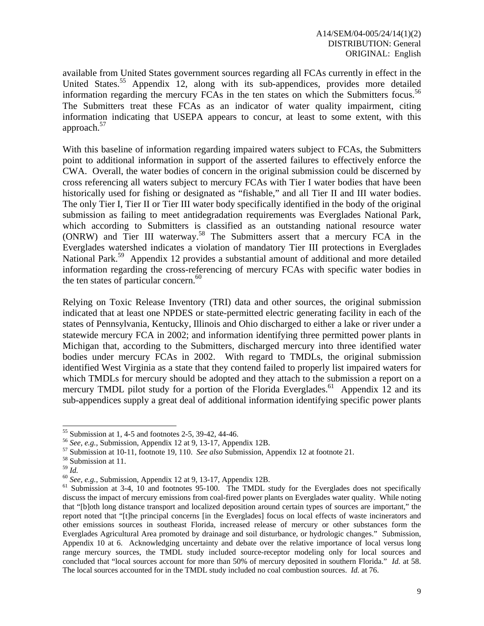available from United States government sources regarding all FCAs currently in effect in the United States.<sup>55</sup> Appendix 12, along with its sub-appendices, provides more detailed information regarding the mercury FCAs in the ten states on which the Submitters focus.<sup>56</sup> The Submitters treat these FCAs as an indicator of water quality impairment, citing information indicating that USEPA appears to concur, at least to some extent, with this approach.57

With this baseline of information regarding impaired waters subject to FCAs, the Submitters point to additional information in support of the asserted failures to effectively enforce the CWA. Overall, the water bodies of concern in the original submission could be discerned by cross referencing all waters subject to mercury FCAs with Tier I water bodies that have been historically used for fishing or designated as "fishable," and all Tier II and III water bodies. The only Tier I, Tier II or Tier III water body specifically identified in the body of the original submission as failing to meet antidegradation requirements was Everglades National Park, which according to Submitters is classified as an outstanding national resource water (ONRW) and Tier III waterway.58 The Submitters assert that a mercury FCA in the Everglades watershed indicates a violation of mandatory Tier III protections in Everglades National Park.<sup>59</sup> Appendix 12 provides a substantial amount of additional and more detailed information regarding the cross-referencing of mercury FCAs with specific water bodies in the ten states of particular concern. $60$ 

Relying on Toxic Release Inventory (TRI) data and other sources, the original submission indicated that at least one NPDES or state-permitted electric generating facility in each of the states of Pennsylvania, Kentucky, Illinois and Ohio discharged to either a lake or river under a statewide mercury FCA in 2002; and information identifying three permitted power plants in Michigan that, according to the Submitters, discharged mercury into three identified water bodies under mercury FCAs in 2002. With regard to TMDLs, the original submission identified West Virginia as a state that they contend failed to properly list impaired waters for which TMDLs for mercury should be adopted and they attach to the submission a report on a mercury TMDL pilot study for a portion of the Florida Everglades.<sup>61</sup> Appendix 12 and its sub-appendices supply a great deal of additional information identifying specific power plants

<sup>&</sup>lt;sup>55</sup> Submission at 1, 4-5 and footnotes 2-5, 39-42, 44-46.<br><sup>56</sup> See, e.g., Submission, Appendix 12 at 9, 13-17, Appendix 12B.

<sup>&</sup>lt;sup>57</sup> Submission at 10-11, footnote 19, 110. *See also* Submission, Appendix 12 at footnote 21. <sup>58</sup> Submission at 11. <sup>59</sup>  $H$ 

<sup>&</sup>lt;sup>60</sup> See, e.g., Submission, Appendix 12 at 9, 13-17, Appendix 12B.<br><sup>61</sup> Submission at 3-4, 10 and footnotes 95-100. The TMDL study for the Everglades does not specifically discuss the impact of mercury emissions from coal-fired power plants on Everglades water quality. While noting that "[b]oth long distance transport and localized deposition around certain types of sources are important," the report noted that "[t]he principal concerns [in the Everglades] focus on local effects of waste incinerators and other emissions sources in southeast Florida, increased release of mercury or other substances form the Everglades Agricultural Area promoted by drainage and soil disturbance, or hydrologic changes." Submission, Appendix 10 at 6. Acknowledging uncertainty and debate over the relative importance of local versus long range mercury sources, the TMDL study included source-receptor modeling only for local sources and concluded that "local sources account for more than 50% of mercury deposited in southern Florida." *Id.* at 58. The local sources accounted for in the TMDL study included no coal combustion sources. *Id.* at 76.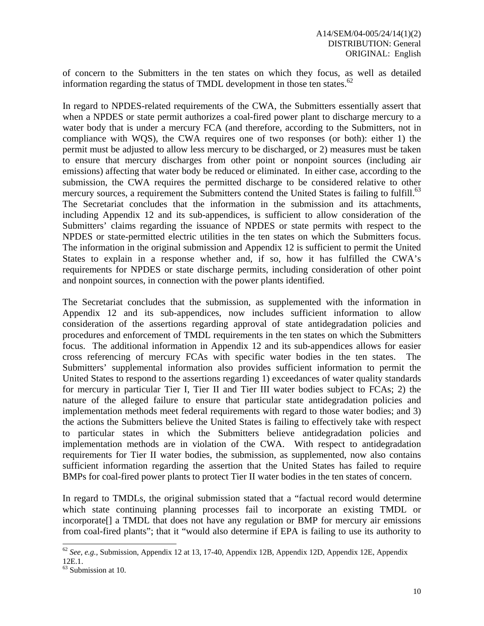of concern to the Submitters in the ten states on which they focus, as well as detailed information regarding the status of TMDL development in those ten states. $62$ 

In regard to NPDES-related requirements of the CWA, the Submitters essentially assert that when a NPDES or state permit authorizes a coal-fired power plant to discharge mercury to a water body that is under a mercury FCA (and therefore, according to the Submitters, not in compliance with WQS), the CWA requires one of two responses (or both): either 1) the permit must be adjusted to allow less mercury to be discharged, or 2) measures must be taken to ensure that mercury discharges from other point or nonpoint sources (including air emissions) affecting that water body be reduced or eliminated. In either case, according to the submission, the CWA requires the permitted discharge to be considered relative to other mercury sources, a requirement the Submitters contend the United States is failing to fulfill.<sup>63</sup> The Secretariat concludes that the information in the submission and its attachments, including Appendix 12 and its sub-appendices, is sufficient to allow consideration of the Submitters' claims regarding the issuance of NPDES or state permits with respect to the NPDES or state-permitted electric utilities in the ten states on which the Submitters focus. The information in the original submission and Appendix 12 is sufficient to permit the United States to explain in a response whether and, if so, how it has fulfilled the CWA's requirements for NPDES or state discharge permits, including consideration of other point and nonpoint sources, in connection with the power plants identified.

The Secretariat concludes that the submission, as supplemented with the information in Appendix 12 and its sub-appendices, now includes sufficient information to allow consideration of the assertions regarding approval of state antidegradation policies and procedures and enforcement of TMDL requirements in the ten states on which the Submitters focus. The additional information in Appendix 12 and its sub-appendices allows for easier cross referencing of mercury FCAs with specific water bodies in the ten states. The Submitters' supplemental information also provides sufficient information to permit the United States to respond to the assertions regarding 1) exceedances of water quality standards for mercury in particular Tier I, Tier II and Tier III water bodies subject to FCAs; 2) the nature of the alleged failure to ensure that particular state antidegradation policies and implementation methods meet federal requirements with regard to those water bodies; and 3) the actions the Submitters believe the United States is failing to effectively take with respect to particular states in which the Submitters believe antidegradation policies and implementation methods are in violation of the CWA. With respect to antidegradation requirements for Tier II water bodies, the submission, as supplemented, now also contains sufficient information regarding the assertion that the United States has failed to require BMPs for coal-fired power plants to protect Tier II water bodies in the ten states of concern.

In regard to TMDLs, the original submission stated that a "factual record would determine which state continuing planning processes fail to incorporate an existing TMDL or incorporate[] a TMDL that does not have any regulation or BMP for mercury air emissions from coal-fired plants"; that it "would also determine if EPA is failing to use its authority to

<sup>62</sup> *See, e.g.,* Submission, Appendix 12 at 13, 17-40, Appendix 12B, Appendix 12D, Appendix 12E, Appendix 12E.1.

<sup>63</sup> Submission at 10.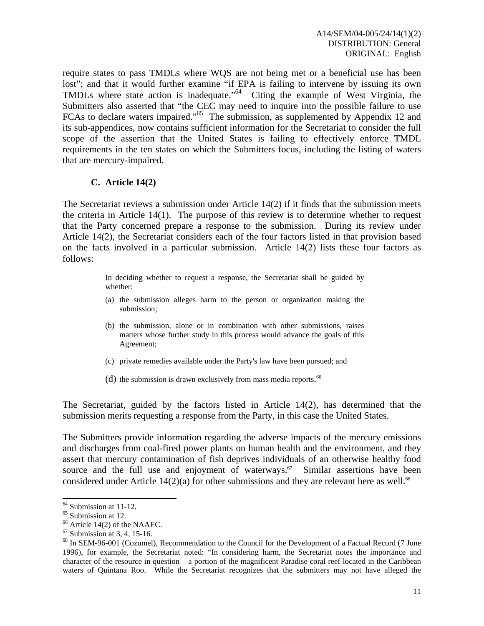require states to pass TMDLs where WQS are not being met or a beneficial use has been lost"; and that it would further examine "if EPA is failing to intervene by issuing its own TMDLs where state action is inadequate."<sup>64</sup> Citing the example of West Virginia, the Submitters also asserted that "the CEC may need to inquire into the possible failure to use FCAs to declare waters impaired."<sup>65</sup> The submission, as supplemented by Appendix 12 and its sub-appendices, now contains sufficient information for the Secretariat to consider the full scope of the assertion that the United States is failing to effectively enforce TMDL requirements in the ten states on which the Submitters focus, including the listing of waters that are mercury-impaired.

### **C. Article 14(2)**

The Secretariat reviews a submission under Article 14(2) if it finds that the submission meets the criteria in Article 14(1). The purpose of this review is to determine whether to request that the Party concerned prepare a response to the submission. During its review under Article 14(2), the Secretariat considers each of the four factors listed in that provision based on the facts involved in a particular submission. Article 14(2) lists these four factors as follows:

> In deciding whether to request a response, the Secretariat shall be guided by whether:

- (a) the submission alleges harm to the person or organization making the submission;
- (b) the submission, alone or in combination with other submissions, raises matters whose further study in this process would advance the goals of this Agreement;
- (c) private remedies available under the Party's law have been pursued; and
- (d) the submission is drawn exclusively from mass media reports.<sup>66</sup>

The Secretariat, guided by the factors listed in Article 14(2), has determined that the submission merits requesting a response from the Party, in this case the United States.

The Submitters provide information regarding the adverse impacts of the mercury emissions and discharges from coal-fired power plants on human health and the environment, and they assert that mercury contamination of fish deprives individuals of an otherwise healthy food source and the full use and enjoyment of waterways.<sup>67</sup> Similar assertions have been considered under Article  $14(2)(a)$  for other submissions and they are relevant here as well.<sup>68</sup>

 $64$  Submission at 11-12.

<sup>65</sup> Submission at 12.

<sup>66</sup> Article 14(2) of the NAAEC.

 $67$  Submission at 3, 4, 15-16.

<sup>&</sup>lt;sup>68</sup> In SEM-96-001 (Cozumel), Recommendation to the Council for the Development of a Factual Record (7 June 1996), for example, the Secretariat noted: "In considering harm, the Secretariat notes the importance and character of the resource in question – a portion of the magnificent Paradise coral reef located in the Caribbean waters of Quintana Roo. While the Secretariat recognizes that the submitters may not have alleged the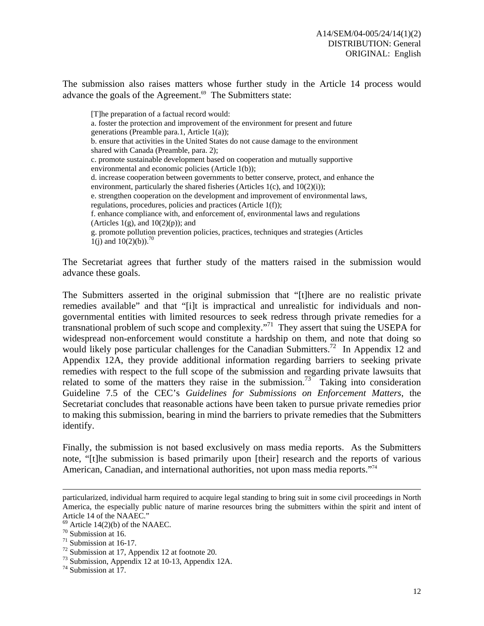The submission also raises matters whose further study in the Article 14 process would advance the goals of the Agreement.<sup>69</sup> The Submitters state:

[T]he preparation of a factual record would: a. foster the protection and improvement of the environment for present and future generations (Preamble para.1, Article 1(a)); b. ensure that activities in the United States do not cause damage to the environment shared with Canada (Preamble, para. 2); c. promote sustainable development based on cooperation and mutually supportive environmental and economic policies (Article 1(b)); d. increase cooperation between governments to better conserve, protect, and enhance the environment, particularly the shared fisheries (Articles 1(c), and 10(2)(i)); e. strengthen cooperation on the development and improvement of environmental laws, regulations, procedures, policies and practices (Article 1(f)); f. enhance compliance with, and enforcement of, environmental laws and regulations (Articles  $1(g)$ , and  $10(2)(p)$ ); and g. promote pollution prevention policies, practices, techniques and strategies (Articles 1(j) and  $10(2)(b)$ .<sup>70</sup>

The Secretariat agrees that further study of the matters raised in the submission would advance these goals.

The Submitters asserted in the original submission that "[t]here are no realistic private remedies available" and that "[i]t is impractical and unrealistic for individuals and nongovernmental entities with limited resources to seek redress through private remedies for a transnational problem of such scope and complexity.<sup> $71$ </sup> They assert that suing the USEPA for widespread non-enforcement would constitute a hardship on them, and note that doing so would likely pose particular challenges for the Canadian Submitters.<sup>72</sup> In Appendix 12 and Appendix 12A, they provide additional information regarding barriers to seeking private remedies with respect to the full scope of the submission and regarding private lawsuits that related to some of the matters they raise in the submission.<sup>73</sup> Taking into consideration Guideline 7.5 of the CEC's *Guidelines for Submissions on Enforcement Matters*, the Secretariat concludes that reasonable actions have been taken to pursue private remedies prior to making this submission, bearing in mind the barriers to private remedies that the Submitters identify.

Finally, the submission is not based exclusively on mass media reports. As the Submitters note, "[t]he submission is based primarily upon [their] research and the reports of various American, Canadian, and international authorities, not upon mass media reports."74

particularized, individual harm required to acquire legal standing to bring suit in some civil proceedings in North America, the especially public nature of marine resources bring the submitters within the spirit and intent of Article 14 of the NAAEC."

 $69$  Article 14(2)(b) of the NAAEC.

 $70$  Submission at 16.

<sup>71</sup> Submission at 16-17.

<sup>72</sup> Submission at 17, Appendix 12 at footnote 20.

<sup>73</sup> Submission, Appendix 12 at 10-13, Appendix 12A.

 $74$  Submission at 17.